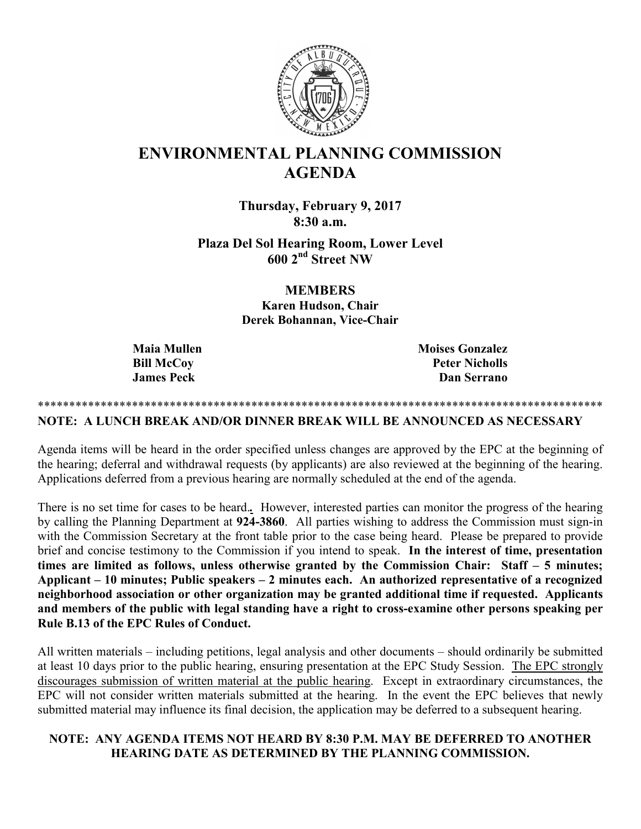

# **ENVIRONMENTAL PLANNING COMMISSION AGENDA**

**Thursday, February 9, 2017 8:30 a.m.** 

**Plaza Del Sol Hearing Room, Lower Level 600 2nd Street NW**

> **MEMBERS Karen Hudson, Chair Derek Bohannan, Vice-Chair**

**Maia Mullen Moises Gonzalez Bill McCoy** Peter Nicholls **James Peck Dan Serrano**

#### \*\*\*\*\*\*\*\*\*\*\*\*\*\*\*\*\*\*\*\*\*\*\*\*\*\*\*\*\*\*\*\*\*\*\*\*\*\*\*\*\*\*\*\*\*\*\*\*\*\*\*\*\*\*\*\*\*\*\*\*\*\*\*\*\*\*\*\*\*\*\*\*\*\*\*\*\*\*\*\*\*\*\*\*\*\*\*\*\*\* **NOTE: A LUNCH BREAK AND/OR DINNER BREAK WILL BE ANNOUNCED AS NECESSARY**

Agenda items will be heard in the order specified unless changes are approved by the EPC at the beginning of the hearing; deferral and withdrawal requests (by applicants) are also reviewed at the beginning of the hearing. Applications deferred from a previous hearing are normally scheduled at the end of the agenda.

There is no set time for cases to be heard.*.* However, interested parties can monitor the progress of the hearing by calling the Planning Department at **924-3860**. All parties wishing to address the Commission must sign-in with the Commission Secretary at the front table prior to the case being heard. Please be prepared to provide brief and concise testimony to the Commission if you intend to speak. **In the interest of time, presentation times are limited as follows, unless otherwise granted by the Commission Chair: Staff – 5 minutes; Applicant – 10 minutes; Public speakers – 2 minutes each. An authorized representative of a recognized neighborhood association or other organization may be granted additional time if requested. Applicants and members of the public with legal standing have a right to cross-examine other persons speaking per Rule B.13 of the EPC Rules of Conduct.** 

All written materials – including petitions, legal analysis and other documents – should ordinarily be submitted at least 10 days prior to the public hearing, ensuring presentation at the EPC Study Session. The EPC strongly discourages submission of written material at the public hearing. Except in extraordinary circumstances, the EPC will not consider written materials submitted at the hearing. In the event the EPC believes that newly submitted material may influence its final decision, the application may be deferred to a subsequent hearing.

## **NOTE: ANY AGENDA ITEMS NOT HEARD BY 8:30 P.M. MAY BE DEFERRED TO ANOTHER HEARING DATE AS DETERMINED BY THE PLANNING COMMISSION.**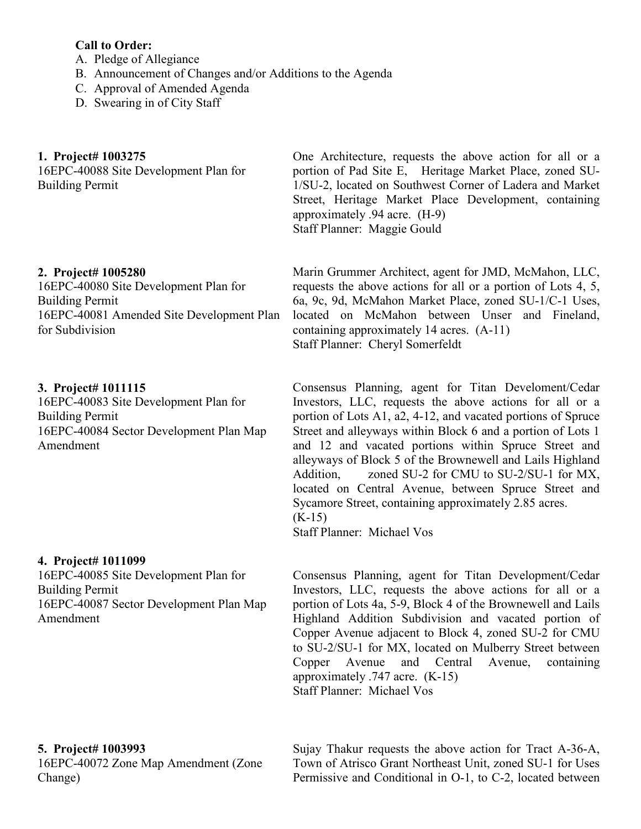#### **Call to Order:**

- A. Pledge of Allegiance
- B. Announcement of Changes and/or Additions to the Agenda
- C. Approval of Amended Agenda
- D. Swearing in of City Staff

#### **1. Project# 1003275**

16EPC-40088 Site Development Plan for Building Permit

#### **2. Project# 1005280**

16EPC-40080 Site Development Plan for Building Permit 16EPC-40081 Amended Site Development Plan for Subdivision

#### **3. Project# 1011115**

16EPC-40083 Site Development Plan for Building Permit 16EPC-40084 Sector Development Plan Map Amendment

#### **4. Project# 1011099**

16EPC-40085 Site Development Plan for Building Permit 16EPC-40087 Sector Development Plan Map Amendment

### **5. Project# 1003993**

16EPC-40072 Zone Map Amendment (Zone Change)

One Architecture, requests the above action for all or a portion of Pad Site E, Heritage Market Place, zoned SU-1/SU-2, located on Southwest Corner of Ladera and Market Street, Heritage Market Place Development, containing approximately .94 acre. (H-9) Staff Planner: Maggie Gould

Marin Grummer Architect, agent for JMD, McMahon, LLC, requests the above actions for all or a portion of Lots 4, 5, 6a, 9c, 9d, McMahon Market Place, zoned SU-1/C-1 Uses, located on McMahon between Unser and Fineland, containing approximately 14 acres. (A-11) Staff Planner: Cheryl Somerfeldt

Consensus Planning, agent for Titan Develoment/Cedar Investors, LLC, requests the above actions for all or a portion of Lots A1, a2, 4-12, and vacated portions of Spruce Street and alleyways within Block 6 and a portion of Lots 1 and 12 and vacated portions within Spruce Street and alleyways of Block 5 of the Brownewell and Lails Highland Addition, zoned SU-2 for CMU to SU-2/SU-1 for MX, located on Central Avenue, between Spruce Street and Sycamore Street, containing approximately 2.85 acres.  $(K-15)$ 

Staff Planner: Michael Vos

Consensus Planning, agent for Titan Development/Cedar Investors, LLC, requests the above actions for all or a portion of Lots 4a, 5-9, Block 4 of the Brownewell and Lails Highland Addition Subdivision and vacated portion of Copper Avenue adjacent to Block 4, zoned SU-2 for CMU to SU-2/SU-1 for MX, located on Mulberry Street between Copper Avenue and Central Avenue, containing approximately .747 acre. (K-15) Staff Planner: Michael Vos

Sujay Thakur requests the above action for Tract A-36-A, Town of Atrisco Grant Northeast Unit, zoned SU-1 for Uses Permissive and Conditional in O-1, to C-2, located between